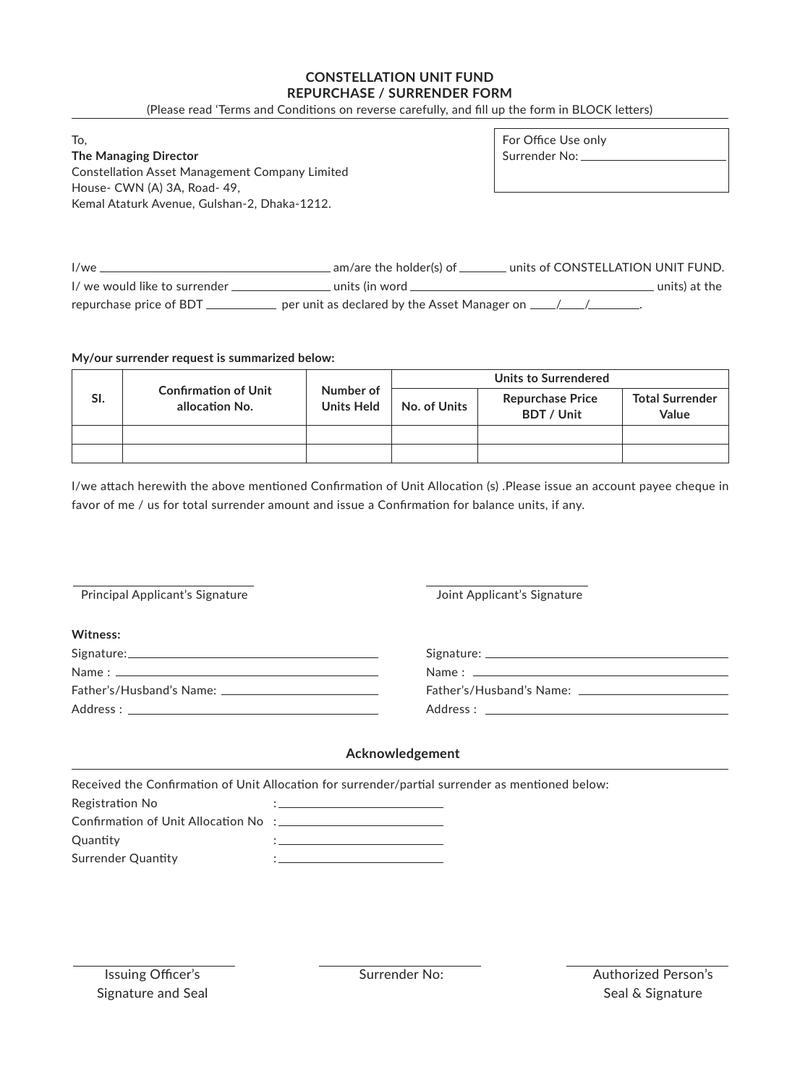## **CONSTELLATION UNIT FUND REPURCHASE / SURRENDER FORM**

(Please read 'Terms and Conditions on reverse carefully, and fill up the form in BLOCK letters)

To,

**The Managing Director** Constellation Asset Management Company Limited House- CWN (A) 3A, Road- 49, Kemal Ataturk Avenue, Gulshan-2, Dhaka-1212.

For Office Use only Surrender No:

I/we am/are the holder(s) of units of CONSTELLATION UNIT FUND. I/ we would like to surrender units (in word units) at the repurchase price of BDT \_\_\_\_\_\_\_\_\_\_\_\_ per unit as declared by the Asset Manager on \_\_\_\_/\_\_\_/\_\_\_\_\_\_\_.

## **My/our surrender request is summarized below:**

| SI. | <b>Confirmation of Unit</b><br>allocation No. | Number of<br><b>Units Held</b> | Units to Surrendered |                                       |                                 |
|-----|-----------------------------------------------|--------------------------------|----------------------|---------------------------------------|---------------------------------|
|     |                                               |                                | No. of Units         | <b>Repurchase Price</b><br>BDT / Unit | <b>Total Surrender</b><br>Value |
|     |                                               |                                |                      |                                       |                                 |
|     |                                               |                                |                      |                                       |                                 |

I/we attach herewith the above mentioned Confirmation of Unit Allocation (s) .Please issue an account payee cheque in favor of me / us for total surrender amount and issue a Confirmation for balance units, if any.

Principal Applicant's Signature **Mateurs** Joint Applicant's Signature

| Witness:                 |  |  |
|--------------------------|--|--|
|                          |  |  |
|                          |  |  |
| Father's/Husband's Name: |  |  |
|                          |  |  |

| Signature: ______                  |  |  |
|------------------------------------|--|--|
| Name: _____________                |  |  |
| Father's/Husband's Name: _________ |  |  |
| Address :                          |  |  |

# **Acknowledgement**

| Received the Confirmation of Unit Allocation for surrender/partial surrender as mentioned below: |  |  |  |  |
|--------------------------------------------------------------------------------------------------|--|--|--|--|
| Registration No                                                                                  |  |  |  |  |
|                                                                                                  |  |  |  |  |
| Ouantity                                                                                         |  |  |  |  |
| Surrender Quantity                                                                               |  |  |  |  |
|                                                                                                  |  |  |  |  |

Issuing Officer's Signature and Seal